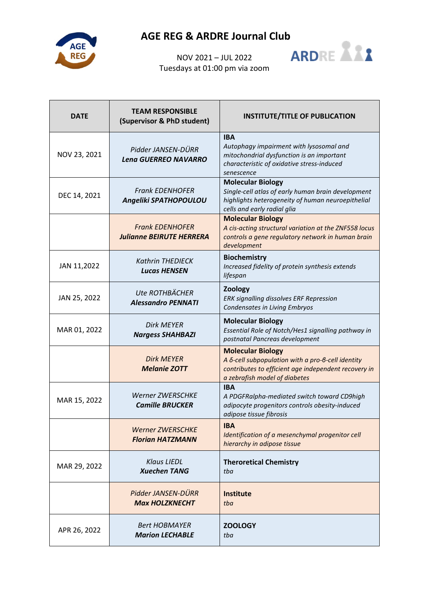

NOV 2021 – JUL 2022 Tuesdays at 01:00 pm via zoom



| <b>DATE</b>  | <b>TEAM RESPONSIBLE</b><br>(Supervisor & PhD student)     | <b>INSTITUTE/TITLE OF PUBLICATION</b>                                                                                                                                  |
|--------------|-----------------------------------------------------------|------------------------------------------------------------------------------------------------------------------------------------------------------------------------|
| NOV 23, 2021 | Pidder JANSEN-DÜRR<br><b>Lena GUERREO NAVARRO</b>         | <b>IBA</b><br>Autophagy impairment with lysosomal and<br>mitochondrial dysfunction is an important<br>characteristic of oxidative stress-induced<br>senescence         |
| DEC 14, 2021 | <b>Frank EDENHOFER</b><br>Angeliki SPATHOPOULOU           | <b>Molecular Biology</b><br>Single-cell atlas of early human brain development<br>highlights heterogeneity of human neuroepithelial<br>cells and early radial glia     |
|              | <b>Frank EDENHOFER</b><br><b>Julianne BEIRUTE HERRERA</b> | <b>Molecular Biology</b><br>A cis-acting structural variation at the ZNF558 locus<br>controls a gene regulatory network in human brain<br>development                  |
| JAN 11,2022  | <b>Kathrin THEDIECK</b><br><b>Lucas HENSEN</b>            | <b>Biochemistry</b><br>Increased fidelity of protein synthesis extends<br>lifespan                                                                                     |
| JAN 25, 2022 | Ute ROTHBÄCHER<br><b>Alessandro PENNATI</b>               | Zoology<br>ERK signalling dissolves ERF Repression<br>Condensates in Living Embryos                                                                                    |
| MAR 01, 2022 | <b>Dirk MEYER</b><br><b>Nargess SHAHBAZI</b>              | <b>Molecular Biology</b><br>Essential Role of Notch/Hes1 signalling pathway in<br>postnatal Pancreas development                                                       |
|              | <b>Dirk MEYER</b><br><b>Melanie ZOTT</b>                  | <b>Molecular Biology</b><br>A δ-cell subpopulation with a pro-β-cell identity<br>contributes to efficient age independent recovery in<br>a zebrafish model of diabetes |
| MAR 15, 2022 | <b>Werner ZWERSCHKE</b><br><b>Camille BRUCKER</b>         | <b>IBA</b><br>A PDGFRalpha-mediated switch toward CD9high<br>adipocyte progenitors controls obesity-induced<br>adipose tissue fibrosis                                 |
|              | <b>Werner ZWERSCHKE</b><br><b>Florian HATZMANN</b>        | <b>IBA</b><br>Identification of a mesenchymal progenitor cell<br>hierarchy in adipose tissue                                                                           |
| MAR 29, 2022 | <b>Klaus LIEDL</b><br><b>Xuechen TANG</b>                 | <b>Theroretical Chemistry</b><br>tba                                                                                                                                   |
|              | Pidder JANSEN-DÜRR<br><b>Max HOLZKNECHT</b>               | Institute<br>tba                                                                                                                                                       |
| APR 26, 2022 | <b>Bert HOBMAYER</b><br><b>Marion LECHABLE</b>            | <b>ZOOLOGY</b><br>tba                                                                                                                                                  |